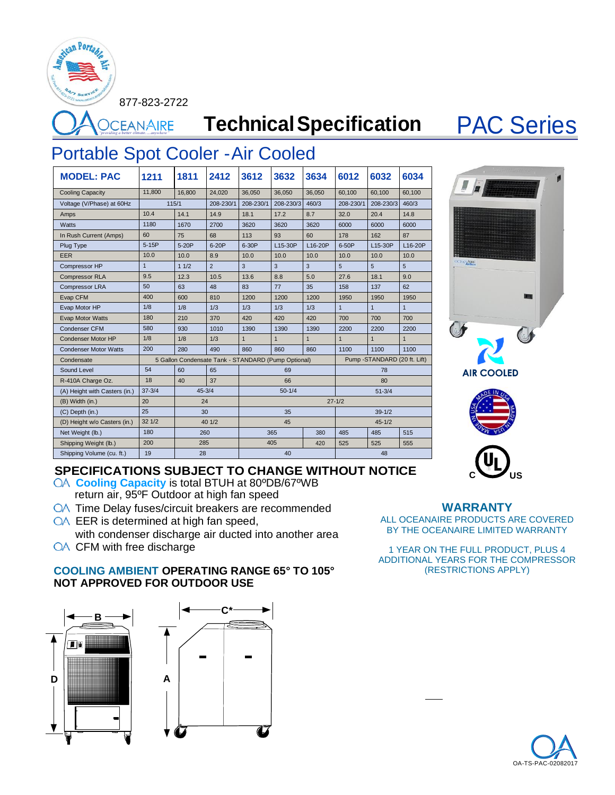877-823-2722

can Porta

**PORFINAIRE Technical Specification PAC Series** 

## Portable Spot Cooler -Air Cooled

**MODEL: PAC 1211 1811 2412 3612 3632 3634 6012 6032 6034** Cooling Capacity 11,800 16,800 24,020 36,050 36,050 36,050 60,100 60,100 60,100 Voltage (V/Phase) at 60Hz 115/1 208-230/1 208-230/1 208-230/3 460/3 208-230/1 208-230/3 460/3 Amps 10.4 14.1 14.9 18.1 17.2 8.7 32.0 20.4 14.8 Watts | 1180 | 1670 | 2700 | 3620 | 3620 | 6000 | 6000 | 6000 | 6000 In Rush Current (Amps) 60 75 68 113 93 60 178 162 87 Plug Type 5-15P 5-20P 6-20P 6-30P L15-30P L16-20P 6-50P L15-30P L16-20P EER 10.0 10.0 8.9 10.0 10.0 10.0 10.0 10.0 10.0 Compressor HP 1 1 1/2 2 3 3 3 5 5 5 Compressor RLA 9.5 12.3 10.5 13.6 8.8 5.0 27.6 18.1 9.0 Compressor LRA 50 63 48 83 77 35 158 137 62 Evap CFM 400 600 810 1200 1200 1200 1950 1950 1950 Evap Motor HP 1/8 1/8 1/3 1/3 1/3 1/3 Evap Motor Watts 180 210 370 420 420 420 700 700 700 Condenser CFM 580 930 1010 1390 1390 1390 2200 2200 2200 Condenser Motor HP 1/8 1/8 1/3 Condenser Motor Watts 200 280 490 860 860 860 1100 1100 1100 Condensate 5 Gallon Condensate Tank - STANDARD (Pump Optional) Pump -STANDARD (20 ft. Lift) Sound Level 54 60 65 69 69 78 R-410A Charge Oz. 18 40 37 66 80 (A) Height with Casters (in.) 37-3/4 45-3/4 50-1/4 50-1/4 51-3/4 (B) Width (in.) 20 24 27-1/2 (C) Depth (in.) 25 30 35 39-1/2 (D) Height w/o Casters (in.) 32 1/2 40 1/2 45-1/2 Net Weight (lb.) 180 260 365 380 485 485 515 Shipping Weight (lb.) 200 285 405 420 525 525 555 Shipping Volume (cu. ft.) 19 28 40 48





# **SPECIFICATIONS SUBJECT TO CHANGE WITHOUT NOTICE**<br>QA **Cooling Capacity** is total BTUH at 80°DB/67°WB

- return air, 95ºF Outdoor at high fan speed
- **QA** Time Delay fuses/circuit breakers are recommended
- QA EER is determined at high fan speed, with condenser discharge air ducted into another area
- **OA** CFM with free discharge

## **COOLING AMBIENT OPERATING RANGE 65° TO 105° NOT APPROVED FOR OUTDOOR USE**



## **WARRANTY**

ALL OCEANAIRE PRODUCTS ARE COVERED BY THE OCEANAIRE LIMITED WARRANTY

1 YEAR ON THE FULL PRODUCT, PLUS 4 ADDITIONAL YEARS FOR THE COMPRESSOR (RESTRICTIONS APPLY)